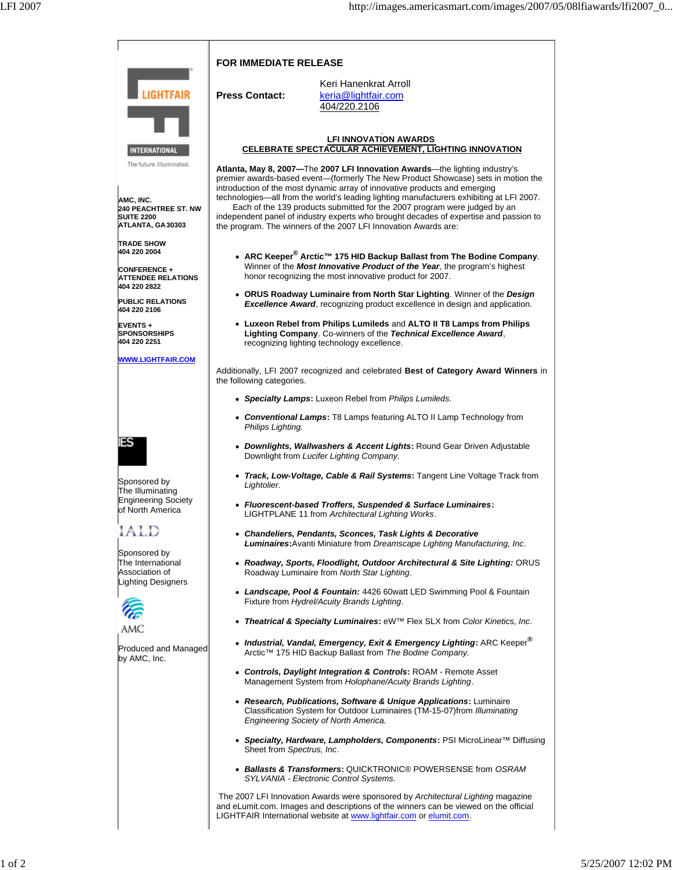